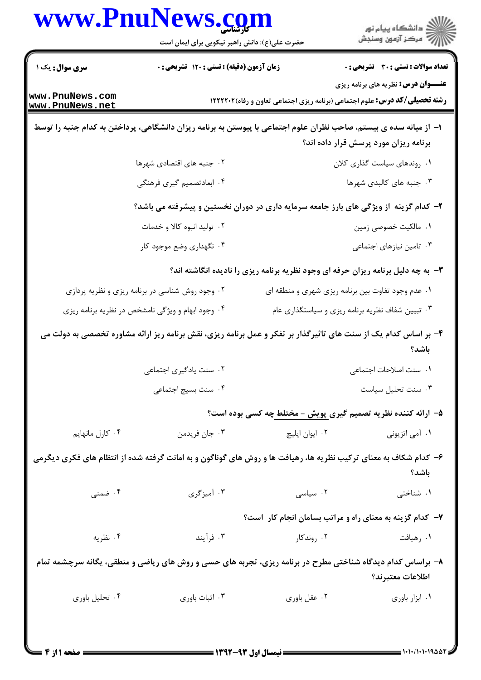|                                                 | حضرت علی(ع): دانش راهبر نیکویی برای ایمان است                                                                     | www.PnuNews.com                                                                  | ڪ دانشڪاه پيام نور<br>پ <sup>ر</sup> مرڪز آزمون وسنڊش                                      |  |
|-------------------------------------------------|-------------------------------------------------------------------------------------------------------------------|----------------------------------------------------------------------------------|--------------------------------------------------------------------------------------------|--|
|                                                 |                                                                                                                   |                                                                                  |                                                                                            |  |
| سری سوال : یک ۱                                 | زمان آزمون (دقیقه) : تستی : ۱۲۰ تشریحی : ۰                                                                        |                                                                                  | <b>تعداد سوالات : تستی : 30 ٪ تشریحی : 0</b><br><b>عنـــوان درس:</b> نظریه های برنامه ریزی |  |
| www.PnuNews.com<br>www.PnuNews.net              |                                                                                                                   |                                                                                  | <b>رشته تحصیلی/کد درس:</b> علوم اجتماعی (برنامه ریزی اجتماعی تعاون و رفاه)1۲۲۲۲۰۲          |  |
|                                                 | ۱– از میانه سده ی بیستم، صاحب نظران علوم اجتماعی با پیوستن به برنامه ریزان دانشگاهی، پرداختن به کدام جنبه را توسط |                                                                                  |                                                                                            |  |
|                                                 |                                                                                                                   |                                                                                  | برنامه ریزان مورد پرسش قرار داده اند؟                                                      |  |
|                                                 | ۰۲ جنبه های اقتصادی شهرها                                                                                         |                                                                                  | ٠١. روندهاي سياست گذاري كلان                                                               |  |
|                                                 | ۴. ابعادتصميم گيري فرهنگي                                                                                         |                                                                                  | ۰۳ جنبه های کالبدی شهرها                                                                   |  |
|                                                 | ۲- کدام گزینه از ویژگی های بارز جامعه سرمایه داری در دوران نخستین و پیشرفته می باشد؟                              |                                                                                  |                                                                                            |  |
|                                                 | ۰۲ تولید انبوه کالا و خدمات                                                                                       |                                                                                  | ۰۱ مالکیت خصوصی زمین                                                                       |  |
|                                                 | ۰۴ نگهداری وضع موجود کار                                                                                          |                                                                                  | ۰۳ تامین نیازهای اجتماعی                                                                   |  |
|                                                 |                                                                                                                   | ۰۳ به چه دلیل برنامه ریزان حرفه ای وجود نظریه برنامه ریزی را نادیده انگاشته اند؟ |                                                                                            |  |
| ۰۲ وجود روش شناسی در برنامه ریزی و نظریه پردازی |                                                                                                                   | ۰۱ عدم وجود تفاوت بین برنامه ریزی شهری و منطقه ای                                |                                                                                            |  |
|                                                 | ۰۴ وجود ابهام و ویژگی نامشخص در نظریه برنامه ریزی                                                                 | ۰۳ تبیین شفاف نظریه برنامه ریزی و سیاستگذاری عام                                 |                                                                                            |  |
|                                                 | ۴- بر اساس کدام یک از سنت های تاثیرگذار بر تفکر و عمل برنامه ریزی، نقش برنامه ریز ارائه مشاوره تخصصی به دولت می   |                                                                                  | باشد؟                                                                                      |  |
|                                                 | ۰۲ سنت یادگیری اجتماعی                                                                                            |                                                                                  | ٠١. سنت اصلاحات اجتماعي                                                                    |  |
|                                                 | ۰۴ سنت بسيج اجتماعي                                                                                               |                                                                                  | ۰۳ سنت تحليل سياست                                                                         |  |
|                                                 |                                                                                                                   | ۵– ارائه کننده نظریه تصمیم گیری پویش - مختلط چه کسی بوده است؟                    |                                                                                            |  |
| ۰۴ کارل مانهایم                                 | ۰۳ جان فريدمن                                                                                                     | ۰۲ ايوان ايليچ                                                                   | ۰۱ آمی اتزیونی                                                                             |  |
|                                                 | ۶- کدام شکاف به معنای ترکیب نظریه ها، رهیافت ها و روش های گوناگون و به امانت گرفته شده از انتظام های فکری دیگرمی  |                                                                                  | باشد؟                                                                                      |  |
| ۰۴ ضمنی                                         | ۰۳ آمیزگری                                                                                                        | ۰۲ سیاسی                                                                         | ۰۱ شناختی                                                                                  |  |
|                                                 |                                                                                                                   | ۷- کدام گزینه به معنای راه و مراتب بسامان انجام کار است؟                         |                                                                                            |  |
| ۰۴ نظریه                                        | ۰۳ فرآیند                                                                                                         | ۰۲ روندکار                                                                       | ٠١. رهيافت                                                                                 |  |
|                                                 | ۸– براساس کدام دیدگاه شناختی مطرح در برنامه ریزی، تجربه های حسی و روش های ریاضی و منطقی، یگانه سرچشمه تمام        |                                                                                  | اطلاعات معتبرند؟                                                                           |  |
|                                                 |                                                                                                                   |                                                                                  |                                                                                            |  |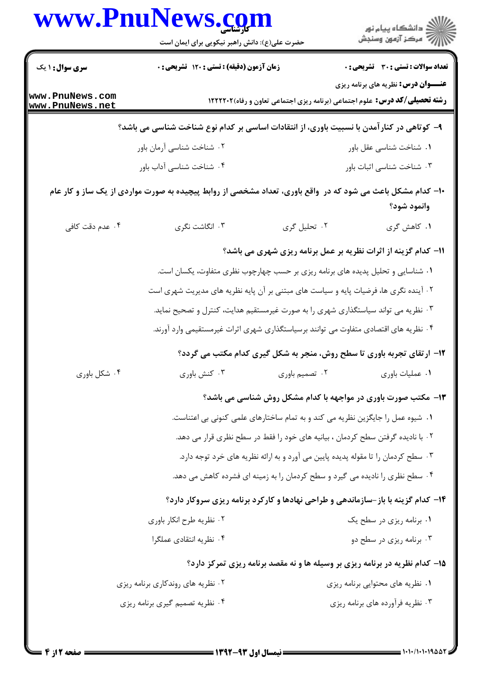|                                    | حضرت علی(ع): دانش راهبر نیکویی برای ایمان است                                                                |                                                                                    | ڪ دانشڪاه پيام نور<br>/> مرڪز آزمون وسنڊش    |  |
|------------------------------------|--------------------------------------------------------------------------------------------------------------|------------------------------------------------------------------------------------|----------------------------------------------|--|
| <b>سری سوال : ۱ یک</b>             | زمان آزمون (دقیقه) : تستی : ۱۲۰ تشریحی : ۰                                                                   |                                                                                    | <b>تعداد سوالات : تستی : 30 ٪ تشریحی : 0</b> |  |
| www.PnuNews.com<br>www.PnuNews.net |                                                                                                              | <b>رشته تحصیلی/کد درس:</b> علوم اجتماعی (برنامه ریزی اجتماعی تعاون و رفاه)۱۲۲۲۲۰۲  | <b>عنـــوان درس:</b> نظریه های برنامه ریزی   |  |
|                                    | ۹– کوتاهی در کنارآمدن با نسبیت باوری، از انتقادات اساسی بر کدام نوع شناخت شناسی می باشد؟                     |                                                                                    |                                              |  |
|                                    | ۰۲ شناخت شناسی آرمان باور                                                                                    |                                                                                    | ۰۱ شناخت شناسی عقل باور                      |  |
|                                    | ۰۴ شناخت شناسی آداب باور                                                                                     |                                                                                    | ۰۳ شناخت شناسی اثبات باور                    |  |
|                                    | ۱۰- کدام مشکل باعث می شود که در ۖ واقع باوری، تعداد مشخصی از روابط پیچیده به صورت مواردی از یک ساز و کار عام |                                                                                    | وانمود شود؟                                  |  |
| ۰۴ عدم دقت کافی                    | ۰۳ انگاشت نگری                                                                                               | ۲. تحلیل گری                                                                       | ۱. كاهش گرى                                  |  |
|                                    | 11- کدام گزینه از اثرات نظریه بر عمل برنامه ریزی شهری می باشد؟                                               |                                                                                    |                                              |  |
|                                    | ۰۱ شناسایی و تحلیل پدیده های برنامه ریزی بر حسب چهارچوب نظری متفاوت، یکسان است.                              |                                                                                    |                                              |  |
|                                    | ۰۲ آینده نگری ها، فرضیات پایه و سیاست های مبتنی بر آن پایه نظریه های مدیریت شهری است                         |                                                                                    |                                              |  |
|                                    | ۰۳ نظریه می تواند سیاستگذاری شهری را به صورت غیرمستقیم هدایت، کنترل و تصحیح نماید.                           |                                                                                    |                                              |  |
|                                    | ۰۴ نظریه های اقتصادی متفاوت می توانند برسیاستگذاری شهری اثرات غیرمستقیمی وارد آورند.                         |                                                                                    |                                              |  |
|                                    |                                                                                                              | ۱۲- ارتقای تجربه باوری تا سطح روش، منجر به شکل گیری کدام مکتب می گردد؟             |                                              |  |
| ۰۴ شکل باوری                       | ۰۳ کنش باوری                                                                                                 | ۰۲ تصمیم باوری                                                                     | ۰۱ عملیات باوری                              |  |
|                                    |                                                                                                              | ۱۳- مکتب صورت باوری در مواجهه با کدام مشکل روش شناسی می باشد؟                      |                                              |  |
|                                    |                                                                                                              | ۰۱ شیوه عمل را جایگزین نظریه می کند و به تمام ساختارهای علمی کنونی بی اعتناست.     |                                              |  |
|                                    |                                                                                                              | ۲ . با نادیده گرفتن سطح کردمان ، بیانیه های خود را فقط در سطح نظری قرار می دهد.    |                                              |  |
|                                    |                                                                                                              | ۰۳ سطح کردمان را تا مقوله پدیده پایین می آورد و به ارائه نظریه های خرد توجه دارد.  |                                              |  |
|                                    |                                                                                                              | ۰۴ سطح نظری را نادیده می گیرد و سطح کردمان را به زمینه ای فشرده کاهش می دهد.       |                                              |  |
|                                    | ۱۴- کدام گزینه با باز-سازماندهی و طراحی نهادها و کارکرد برنامه ریزی سروکار دارد؟                             |                                                                                    |                                              |  |
|                                    | ۰۲ نظریه طرح انکار باوری                                                                                     |                                                                                    | ۰۱ برنامه ریزی در سطح یک                     |  |
|                                    | ۰۴ نظریه انتقادی عملگرا                                                                                      |                                                                                    | ۰۳ برنامه ریزی در سطح دو                     |  |
|                                    |                                                                                                              | <b>۱۵- کدام نظریه در برنامه ریزی بر وسیله ها و نه مقصد برنامه ریزی تمرکز دارد؟</b> |                                              |  |
|                                    | ۰۲ نظریه های روندکاری برنامه ریزی                                                                            |                                                                                    | ۰۱ نظریه های محتوایی برنامه ریزی             |  |
|                                    | ۰۴ نظریه تصمیم گیری برنامه ریزی                                                                              |                                                                                    | ۰۳ نظریه فرآورده های برنامه ریزی             |  |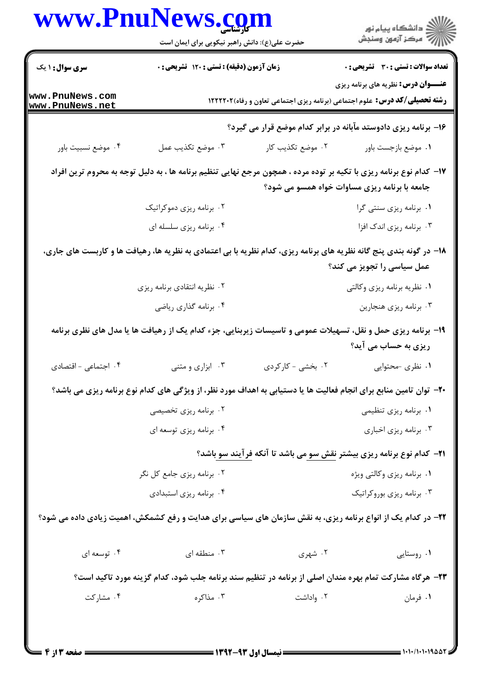|                                    | حضرت علی(ع): دانش راهبر نیکویی برای ایمان است                                     |                   | ڪ دانشڪاه پيام نور<br>پ <sup>ر</sup> مرڪز آزمون وسنڊش                                                                                                                |  |  |
|------------------------------------|-----------------------------------------------------------------------------------|-------------------|----------------------------------------------------------------------------------------------------------------------------------------------------------------------|--|--|
| <b>سری سوال : ۱ یک</b>             | زمان آزمون (دقیقه) : تستی : ۱۲۰ تشریحی : ۰                                        |                   | <b>تعداد سوالات : تستی : 30 ٪ تشریحی : 0</b>                                                                                                                         |  |  |
| www.PnuNews.com<br>www.PnuNews.net | <b>رشته تحصیلی/کد درس:</b> علوم اجتماعی (برنامه ریزی اجتماعی تعاون و رفاه)۱۲۲۲۲۰۲ |                   | <b>عنـــوان درس:</b> نظریه های برنامه ریزی                                                                                                                           |  |  |
|                                    | ۱۶– برنامه ریزی دادوستد مآبانه در برابر کدام موضع قرار می گیرد؟                   |                   |                                                                                                                                                                      |  |  |
| ۰۴ موضع نسبيت باور                 | ۰۳ موضع تكذيب عمل                                                                 | ۰۲ موضع تكذيب كار | ٠١. موضع بازجست باور                                                                                                                                                 |  |  |
|                                    |                                                                                   |                   | ۱۷- کدام نوع برنامه ریزی با تکیه بر توده مرده ، همچون مرجع نهایی تنظیم برنامه ها ، به دلیل توجه به محروم ترین افراد<br>جامعه با برنامه ریزی مساوات خواه همسو می شود؟ |  |  |
|                                    | ۰۲ برنامه ریزی دموکراتیک                                                          |                   | ٠١. برنامه ريزي سنتي گرا                                                                                                                                             |  |  |
|                                    | ۰۴ برنامه ریزی سلسله ای                                                           |                   | ۰۳ برنامه ریزی اندک افزا                                                                                                                                             |  |  |
|                                    |                                                                                   |                   | ۱۸- در گونه بندی پنج گانه نظریه های برنامه ریزی، کدام نظریه با بی اعتمادی به نظریه ها، رهیافت ها و کاربست های جاری،                                                  |  |  |
|                                    |                                                                                   |                   | عمل سیاسی را تجویز می کند؟                                                                                                                                           |  |  |
|                                    | ۰۲ نظریه انتقادی برنامه ریزی                                                      |                   | ۰۱ نظریه برنامه ریزی وکالتی                                                                                                                                          |  |  |
|                                    | ۰۴ برنامه گذاری ریاضی                                                             |                   | ۰۳ برنامه ریزی هنجارین                                                                                                                                               |  |  |
|                                    |                                                                                   |                   | ۱۹- برنامه ریزی حمل و نقل، تسهیلات عمومی و تاسیسات زیربنایی، جزء کدام یک از رهیافت ها یا مدل های نظری برنامه<br>ریزی به حساب می آید؟                                 |  |  |
| ۰۴ اجتماعی - اقتصادی               | ۰۳ ابزاری و متنی                                                                  | ۰۲ بخشی - کارکردی | ۰۱ نظری -محتوایی                                                                                                                                                     |  |  |
|                                    |                                                                                   |                   | +۲- توان تامین منابع برای انجام فعالیت ها یا دستیابی به اهداف مورد نظر، از ویژگی های کدام نوع برنامه ریزی می باشد؟                                                   |  |  |
|                                    | ۰۲ برنامه ریزی تخصیصی                                                             |                   | ۰۱ برنامه ریزی تنظیمی                                                                                                                                                |  |  |
|                                    | ۰۴ برنامه ریزی توسعه ای                                                           |                   | ۰۳ برنامه ریزی اخباری                                                                                                                                                |  |  |
|                                    |                                                                                   |                   | <b>۲۱</b> - کدام نوع برنامه ریزی بیشتر <u>نقش سو می</u> باشد تا آنکه <u>فرآیند سو</u> باشد؟                                                                          |  |  |
|                                    | ۰۲ برنامه ریزی جامع کل نگر                                                        |                   | ۰۱ برنامه ریزی وکالتی ویژه                                                                                                                                           |  |  |
|                                    | ۰۴ برنامه ریزی استبدادی                                                           |                   | ۰۳ برنامه ریزی بوروکراتیک                                                                                                                                            |  |  |
|                                    |                                                                                   |                   | <b>۲۲</b> - در کدام یک از انواع برنامه ریزی، به نقش سازمان های سیاسی برای هدایت و رفع کشمکش، اهمیت زیادی داده می شود؟                                                |  |  |
| ۰۴ توسعه ای                        | ۰۳ منطقه ای                                                                       | ۰۲ شهری           | ٠١. روستايي                                                                                                                                                          |  |  |
|                                    |                                                                                   |                   | ۲۳– هرگاه مشارکت تمام بهره مندان اصلی از برنامه در تنظیم سند برنامه جلب شود، کدام گزینه مورد تاکید است؟                                                              |  |  |
| ۰۴ مشارکت                          | ۰۳ مذاکره                                                                         | ۰۲ واداشت         | ۰۱ فرمان                                                                                                                                                             |  |  |